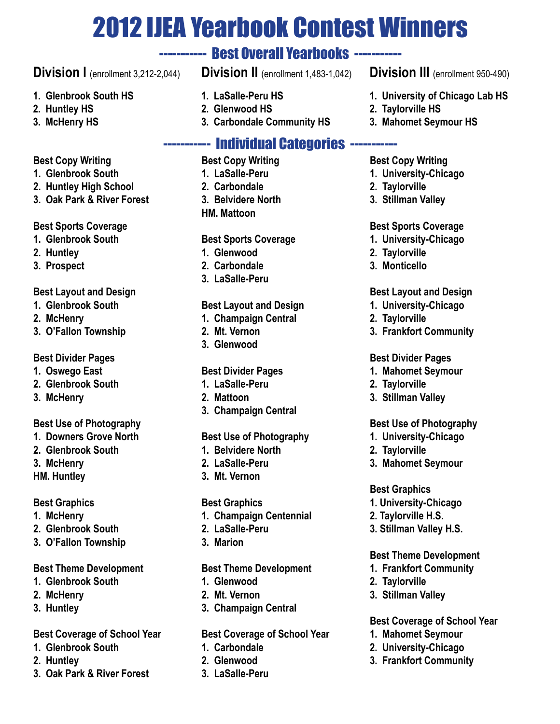# 2012 IJEA Yearbook Contest Winners

## ----------- Best Overall Yearbooks -----------

## **Division I** (enrollment 3,212-2,044)

- **1. Glenbrook South HS**
- **2. Huntley HS**
- **3. McHenry HS**

### **Best Copy Writing**

- **1. Glenbrook South**
- **2. Huntley High School**
- **3. Oak Park & River Forest**

### **Best Sports Coverage**

- **1. Glenbrook South**
- **2. Huntley**
- **3. Prospect**

### **Best Layout and Design**

- **1. Glenbrook South**
- **2. McHenry**
- **3. O'Fallon Township**

### **Best Divider Pages**

- **1. Oswego East**
- **2. Glenbrook South**
- **3. McHenry**

### **Best Use of Photography**

- **1. Downers Grove North**
- **2. Glenbrook South**
- **3. McHenry**
- **HM. Huntley**

### **Best Graphics**

- **1. McHenry**
- **2. Glenbrook South**
- **3. O'Fallon Township**

### **Best Theme Development**

- **1. Glenbrook South**
- **2. McHenry**
- **3. Huntley**

### **Best Coverage of School Year**

- **1. Glenbrook South**
- **2. Huntley**
- **3. Oak Park & River Forest**
- **Division II** (enrollment 1,483-1,042)
- **1. LaSalle-Peru HS**
- **2. Glenwood HS**
- **3. Carbondale Community HS**

## ----------- Individual Categories -----------

- **Best Copy Writing**
- **1. LaSalle-Peru**
- **2. Carbondale**
- **3. Belvidere North HM. Mattoon**

### **Best Sports Coverage**

- **1. Glenwood**
- **2. Carbondale**
- **3. LaSalle-Peru**

### **Best Layout and Design**

- **1. Champaign Central**
- **2. Mt. Vernon**
- **3. Glenwood**

### **Best Divider Pages**

- **1. LaSalle-Peru**
- **2. Mattoon**
- **3. Champaign Central**

### **Best Use of Photography**

- **1. Belvidere North**
- **2. LaSalle-Peru**
- **3. Mt. Vernon**

### **Best Graphics**

- **1. Champaign Centennial**
- **2. LaSalle-Peru**
- **3. Marion**

### **Best Theme Development**

- **1. Glenwood**
- **2. Mt. Vernon**
- **3. Champaign Central**

### **Best Coverage of School Year**

- **1. Carbondale**
- **2. Glenwood**
- **3. LaSalle-Peru**

### **Division III** (enrollment 950-490)

- **1. University of Chicago Lab HS**
- **2. Taylorville HS**
- **3. Mahomet Seymour HS**

### **Best Copy Writing**

- **1. University-Chicago**
- **2. Taylorville**
- **3. Stillman Valley**

### **Best Sports Coverage**

- **1. University-Chicago**
- **2. Taylorville**
- **3. Monticello**

#### **Best Layout and Design**

- **1. University-Chicago**
- **2. Taylorville**
- **3. Frankfort Community**

#### **Best Divider Pages**

- **1. Mahomet Seymour**
- **2. Taylorville**
- **3. Stillman Valley**

### **Best Use of Photography**

- **1. University-Chicago**
- **2. Taylorville**

**Best Graphics**

**2. Taylorville 3. Stillman Valley**

**3. Mahomet Seymour**

**1. University-Chicago 2. Taylorville H.S. 3. Stillman Valley H.S.** 

**Best Theme Development 1. Frankfort Community**

**Best Coverage of School Year**

**1. Mahomet Seymour 2. University-Chicago 3. Frankfort Community**